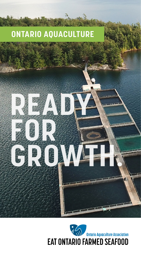# **ONTARIO AQUACULTURE**

**READY** 

**GROWTH.**

**FOR THE REAL PROPERTY** 

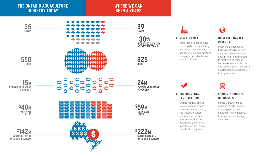

+ **NEW FEED MILL**

Aqua-feed companies have committed to manufacturing feed in Ontario if demand continues to grow, rather than bringing in aqua-feeds from out-of-province.

### + **INCREASED MARKET POTENTIAL**

Q

Ontario wild-caught and farmed seafood producers combined do not produce enough fresh local seafood to meet Ontario demand. We could meet local demand and develop export markets in several species with support from government.

S

### + **ECONOMIC SPIN-OFF BUSINESSES**

Industry growth brings new business to Ontario, including specialized equipment manufacturing, trucking, and technology companies.

### + **ENVIRONMENTAL CERTIFICATIONS**

Ontario rainbow trout is farmed responsibly and sustainably, which is why the industry is under consideration for Best Aquaculture Practices certification, the world's most trusted fish farming certification program.